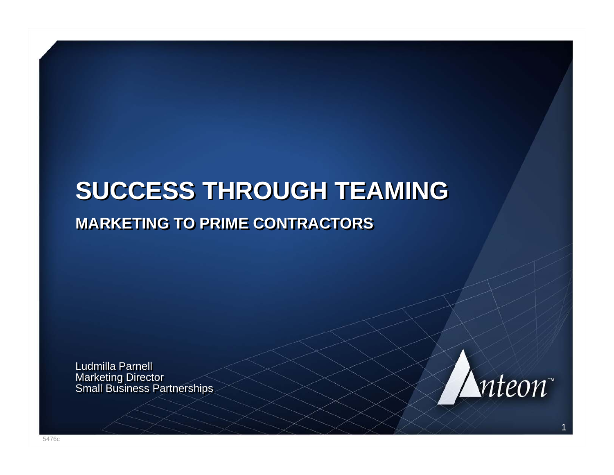## **SUCCESS THROUGH TEAMING SUCCESS THROUGH TEAMING MARKETING TO PRIME CONTRACTORSMARKETING TO PRIME CONTRACTORS**

Ludmilla Parnell Marketing Director Small Business Partnerships Marketing Director Small Business Partnerships

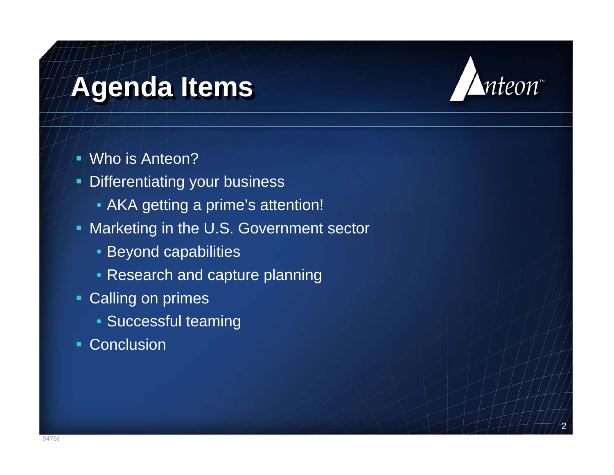# **Agenda Items Agenda Items**



- ۳ Differentiating your business
	- AKA getting a prime's attention!
- **Marketing in the U.S. Government sector**

- Beyond capabilities
- Research and capture planning
- **Calling on primes** 
	- Successful teaming
- Conclusion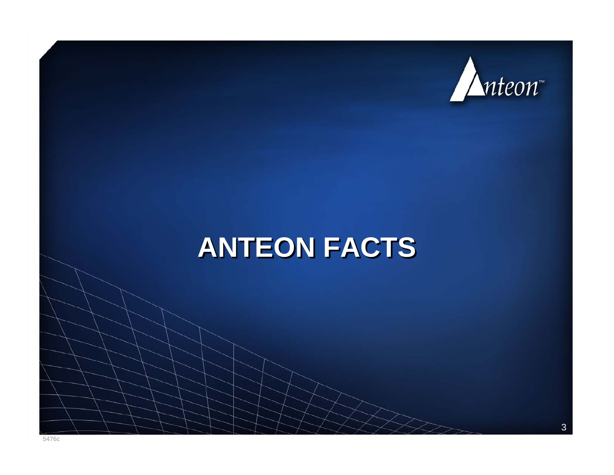

## **ANTEON FACTS ANTEON FACTS**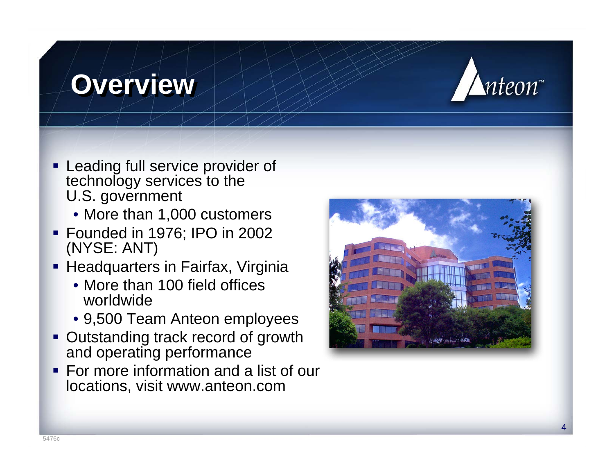## **Overview Overview**



- **Example 1 Leading full service provider of** technology services to the U.S. government
	- More than 1,000 customers
- Founded in 1976; IPO in 2002 (NYSE: ANT)
- **Headquarters in Fairfax, Virginia** 
	- More than 100 field offices worldwide
	- 9,500 Team Anteon employees
- **Outstanding track record of growth** and operating performance
- **For more information and a list of our** locations, visit www.anteon.com

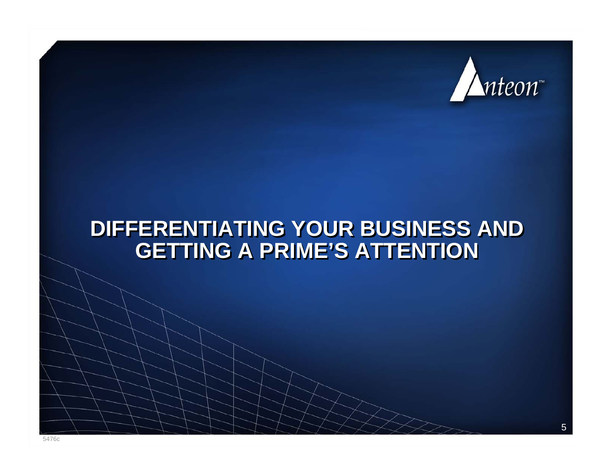

#### **DIFFERENTIATING YOUR BUSINESS AND DIFFERENTIATING YOUR BUSINESS AND GETTING A PRIME'S ATTENTIONGETTING A PRIME'S ATTENTION**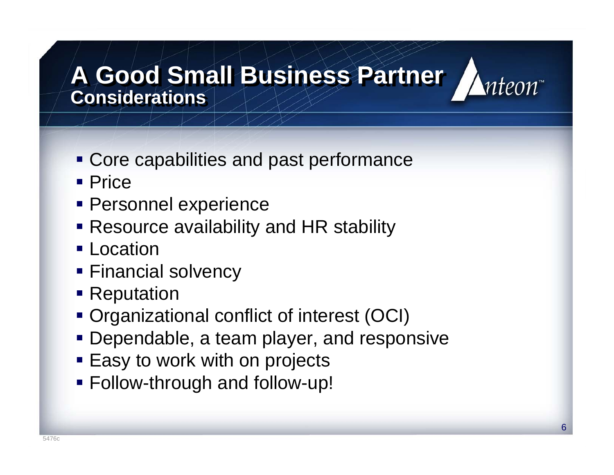#### **A Good Small Business Partner A Good Small Business Partner Considerations**



- **Core capabilities and past performance**
- Price
- **Personnel experience**
- Resource availability and HR stability
- **Location**
- **Financial solvency**
- **Reputation**
- Organizational conflict of interest (OCI)
- **Dependable, a team player, and responsive**
- **Easy to work with on projects**
- Follow-through and follow-up!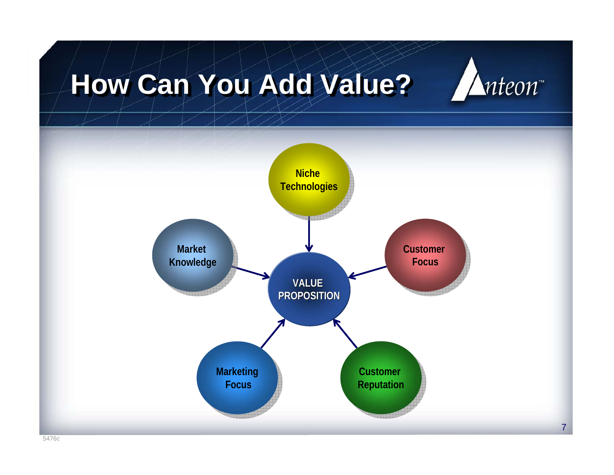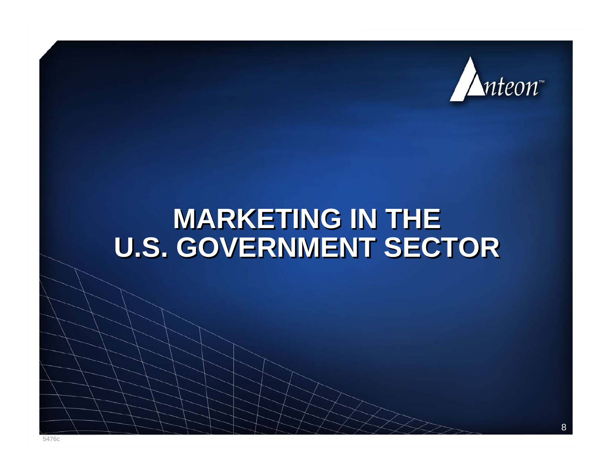

## **MARKETING IN THE MARKETING IN THE U.S. GOVERNMENT SECTOR U.S. GOVERNMENT SECTOR**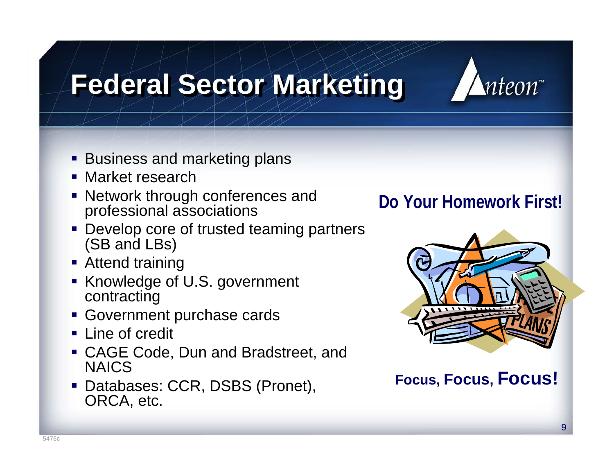# **Federal Sector Marketing Federal Sector Marketing**



- **Business and marketing plans**
- Market research
- **Network through conferences and** professional associations
- **Develop core of trusted teaming partners** (SB and LBs)
- **Attend training**
- **K**nowledge of U.S. government contracting
- Government purchase cards
- **Line of credit**
- CAGE Code, Dun and Bradstreet, and NAICS
- Databases: CCR, DSBS (Pronet), ORCA, etc.

#### **Do Your Homework First!**



**Focus, Focus, Focus!**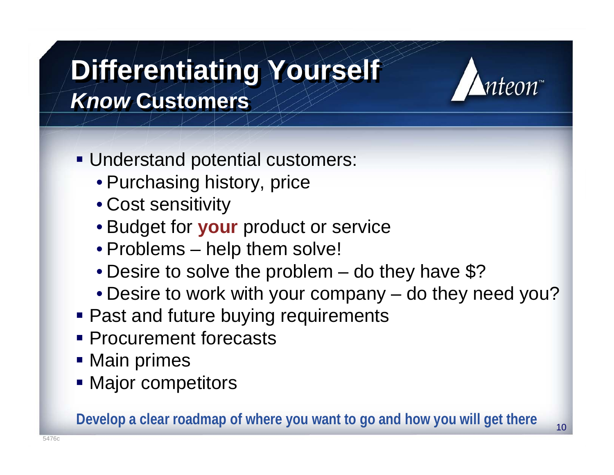# **Differentiating Yourself Differentiating Yourself** *Know* **Customers** *Know* **Customers**



10

- Understand potential customers:
	- Purchasing history, price
	- Cost sensitivity
	- Budget for **your** product or service
	- Problems help them solve!
	- Desire to solve the problem do they have \$?
	- Desire to work with your company do they need you?
- **Past and future buying requirements**
- **Procurement forecasts**
- **Main primes**
- **Major competitors**

**Develop a clear roadmap of where you want to go and how you will get there**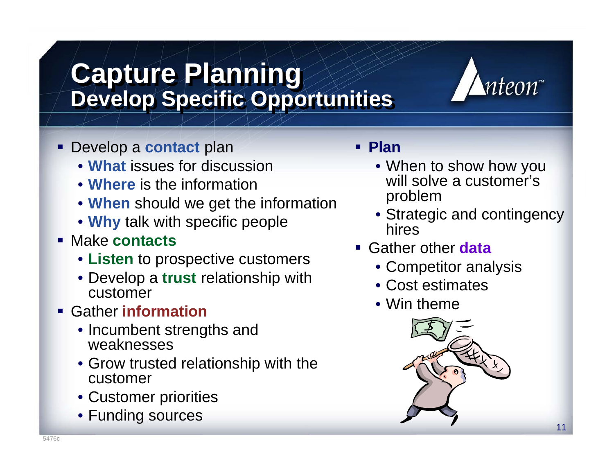#### Develop a **contact** plan • **What** issues for discussion • **Where** is the information

**Capture Planning Capture Planning**

• **When** should we get the information

**Develop Specific Opportunities Develop Specific Opportunities**

- **Why** talk with specific people
- Make **contacts**
	- **Listen** to prospective customers
	- Develop a **trust** relationship with customer
- Gather **information**
	- Incumbent strengths and weaknesses
	- Grow trusted relationship with the customer
	- Customer priorities
	- Funding sources

#### **Plan**

- When to show how you will solve a customer's problem
- Strategic and contingency hires

nteon™

- Gather other **data**
	- Competitor analysis
	- Cost estimates
	- Win theme

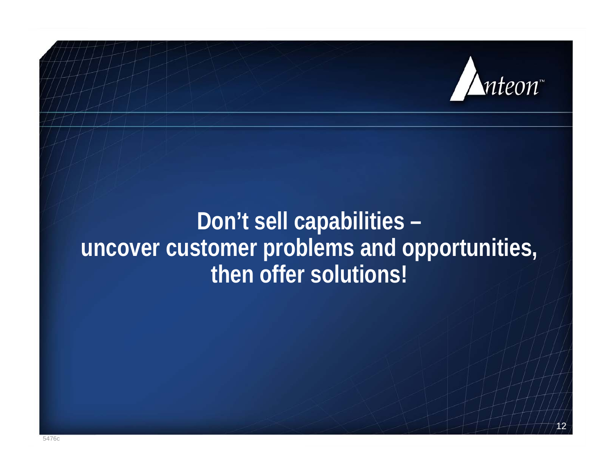

### **Don't sell capabilities – uncover customer problems and opportunities, then offer solutions!**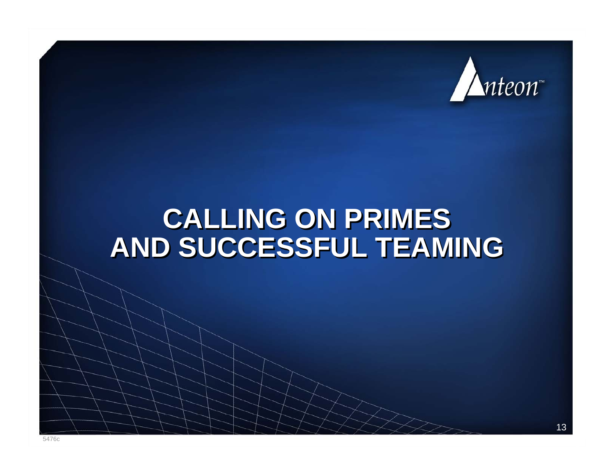

## **CALLING ON PRIMES CALLING ON PRIMES AND SUCCESSFUL TEAMING AND SUCCESSFUL TEAMING**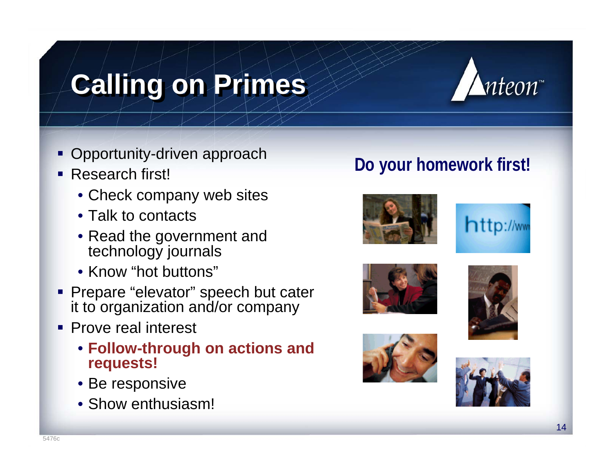# **Calling on Primes Calling on Primes**



- **Opportunity-driven approach**
- Research first!
	- Check company web sites
	- Talk to contacts
	- Read the government and technology journals
	- Know "hot buttons"
- **Prepare "elevator" speech but cater** it to organization and/or company
- **Prove real interest** 
	- **Follow-through on actions and requests!**
	- Be responsive
	- Show enthusiasm!

#### **Do your homework first!**











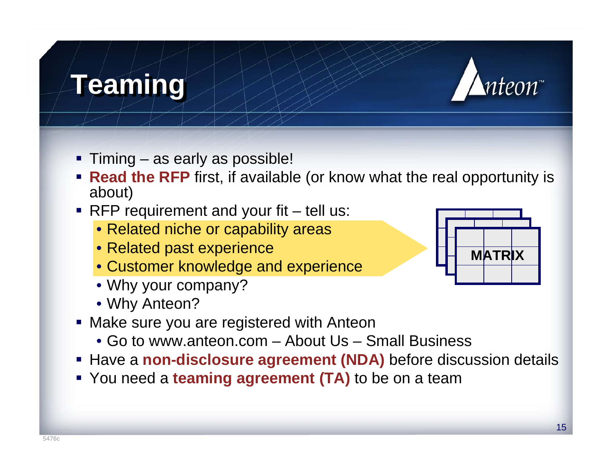## **Teaming Teaming**



- Timing as early as possible!
- **Read the RFP** first, if available (or know what the real opportunity is about)
- RFP requirement and your fit tell us:
	- Related niche or capability areas
	- Related past experience
	- Customer knowledge and experience
	- Why your company?
	- Why Anteon?
- Make sure you are registered with Anteon
	- Go to www.anteon.com About Us Small Business
- **Have a non-disclosure agreement (NDA)** before discussion details
- You need a **teaming agreement (TA)** to be on a team

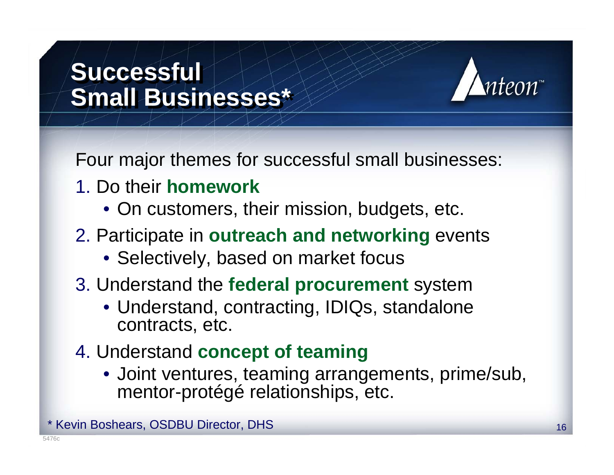## **Successful Successful Small Businesses\* Small Businesses\***



Four major themes for successful small businesses:

- 1. Do their **homework**
	- On customers, their mission, budgets, etc.
- 2. Participate in **outreach and networking** events
	- Selectively, based on market focus
- 3. Understand the **federal procurement** system
	- Understand, contracting, IDIQs, standalone contracts, etc.
- 4. Understand **concept of teaming**
	- Joint ventures, teaming arrangements, prime/sub, mentor-protégé relationships, etc.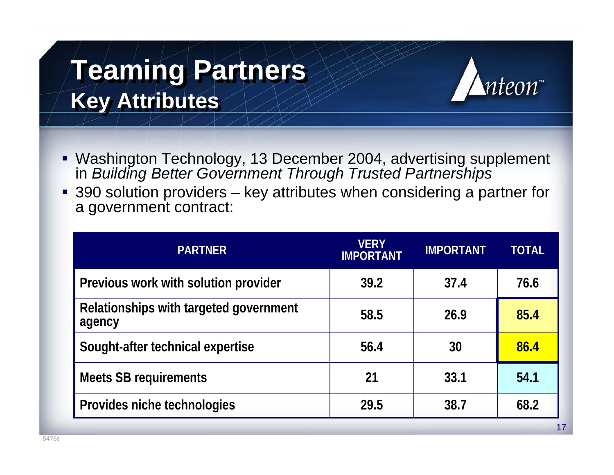# **Teaming Partners Teaming Partners Key Attributes Key Attributes**



- Washington Technology, 13 December 2004, advertising supplement in *Building Better Government Through Trusted Partnerships*
- 390 solution providers key attributes when considering a partner for a government contract:

| <b>VERY</b><br><b>IMPORTANT</b> | <b>IMPORTANT</b> | <b>TOTAL</b> |
|---------------------------------|------------------|--------------|
| 39.2                            | 37.4             | 76.6         |
| 58.5                            | 26.9             | 85.4         |
| 56.4                            | 30               | 86.4         |
| 21                              | 33.1             | 54.1         |
| 29.5                            | 38.7             | 68.2         |
|                                 |                  |              |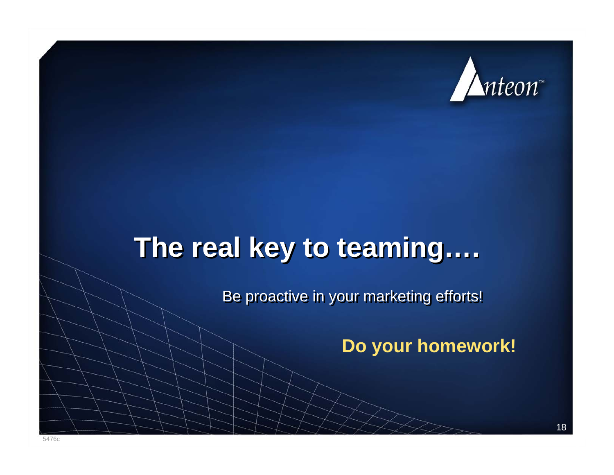

## **The real key to teaming…. The real key to teaming….**

Be proactive in your marketing efforts!

**Do your homework!**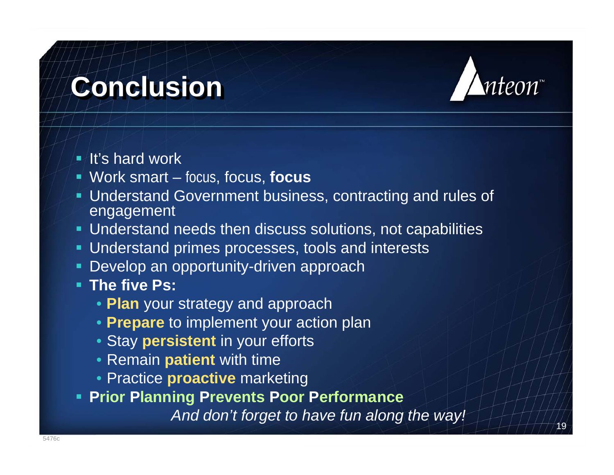# **Conclusion Conclusion**



19

- **It's hard work**
- Work smart focus, focus, **focus**
- Understand Government business, contracting and rules of engagement
- Understand needs then discuss solutions, not capabilities
- Understand primes processes, tools and interests
- L. Develop an opportunity-driven approach
- **The five Ps:**
	- **Plan** your strategy and approach
	- **Prepare** to implement your action plan
	- Stay **persistent** in your efforts
	- Remain **patient** with time
	- Practice **proactive** marketing
- **Prior Planning Prevents Poor Performance**

*And don't forget to have fun along the way!*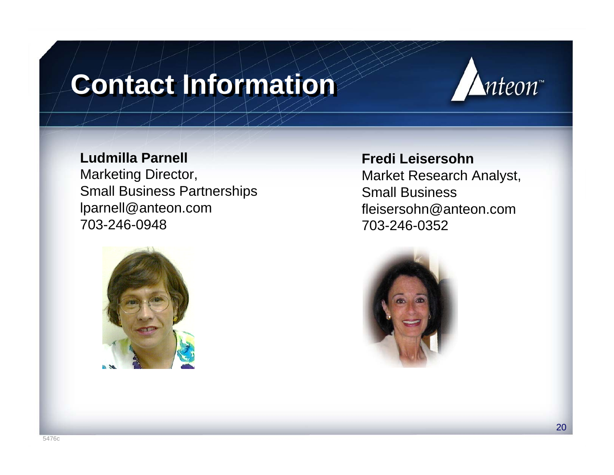# **Contact Information**



#### **Ludmilla Parnell**

Marketing Director, Small Business Partnerships lparnell@anteon.com 703-246-0948



#### **Fredi Leisersohn**

Market Research Analyst, Small Businessfleisersohn@anteon.com 703-246-0352